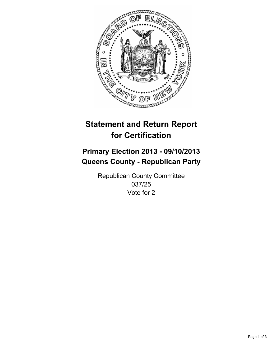

# **Statement and Return Report for Certification**

# **Primary Election 2013 - 09/10/2013 Queens County - Republican Party**

Republican County Committee 037/25 Vote for 2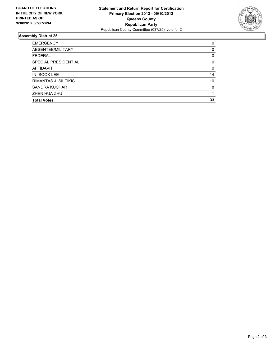

## **Assembly District 25**

| <b>EMERGENCY</b>     | 0        |
|----------------------|----------|
| ABSENTEE/MILITARY    | 0        |
| <b>FEDERAL</b>       | 0        |
| SPECIAL PRESIDENTIAL | $\Omega$ |
| <b>AFFIDAVIT</b>     | 0        |
| IN SOOK LEE          | 14       |
| RIMANTAS J. SILEIKIS | 10       |
| <b>SANDRA KUCHAR</b> | 8        |
| ZHEN HUA ZHU         |          |
| <b>Total Votes</b>   | 33       |